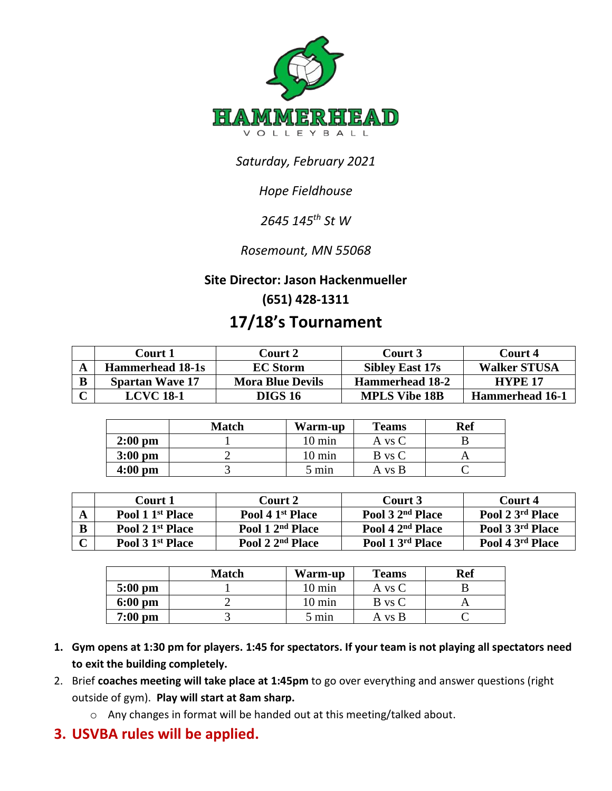

# *Saturday, February 2021*

# *Hope Fieldhouse*

# *2645 145th St W*

## *Rosemount, MN 55068*

#### **Site Director: Jason Hackenmueller**

## **(651) 428-1311**

# **17/18's Tournament**

|   | Court 1                 | <b>Court 2</b>          | Court 3                | Court 4                |
|---|-------------------------|-------------------------|------------------------|------------------------|
|   | <b>Hammerhead 18-1s</b> | <b>EC Storm</b>         | <b>Sibley East 17s</b> | <b>Walker STUSA</b>    |
| B | <b>Spartan Wave 17</b>  | <b>Mora Blue Devils</b> | <b>Hammerhead 18-2</b> | <b>HYPE 17</b>         |
|   | LCVC 18-1               | <b>DIGS 16</b>          | <b>MPLS Vibe 18B</b>   | <b>Hammerhead 16-1</b> |

|                   | <b>Match</b> | Warm-up          | <b>Teams</b> | <b>Ref</b> |
|-------------------|--------------|------------------|--------------|------------|
| $2:00$ pm         |              | $10 \text{ min}$ | A vs C       |            |
| $3:00$ pm         |              | $10 \text{ min}$ | B vs C       |            |
| $4:00 \text{ pm}$ |              | 5 min            | A vs B       |            |

|   | Court 1                      | Court 2                      | Court 3                      | Court 4          |
|---|------------------------------|------------------------------|------------------------------|------------------|
|   | Pool 1 1 <sup>st</sup> Place | Pool 4 1 <sup>st</sup> Place | Pool 3 2 <sup>nd</sup> Place | Pool 2 3rd Place |
| B | Pool 2 1 <sup>st</sup> Place | Pool 1 2 <sup>nd</sup> Place | Pool 4 2 <sup>nd</sup> Place | Pool 3 3rd Place |
|   | Pool 3 1 <sup>st</sup> Place | Pool 2 2 <sup>nd</sup> Place | Pool 1 3rd Place             | Pool 4 3rd Place |

|                    | <b>Match</b> | Warm-up          | <b>Teams</b> | Ref |
|--------------------|--------------|------------------|--------------|-----|
| $5:00$ pm          |              | $10 \text{ min}$ | A vs C       |     |
| $6:00 \text{ pm}$  |              | $10 \text{ min}$ | B vs C       |     |
| $7:00~\mathrm{pm}$ |              | 5 min            | A vs B       |     |

- **1. Gym opens at 1:30 pm for players. 1:45 for spectators. If your team is not playing all spectators need to exit the building completely.**
- 2. Brief **coaches meeting will take place at 1:45pm** to go over everything and answer questions (right outside of gym). **Play will start at 8am sharp.**
	- o Any changes in format will be handed out at this meeting/talked about.
- **3. USVBA rules will be applied.**